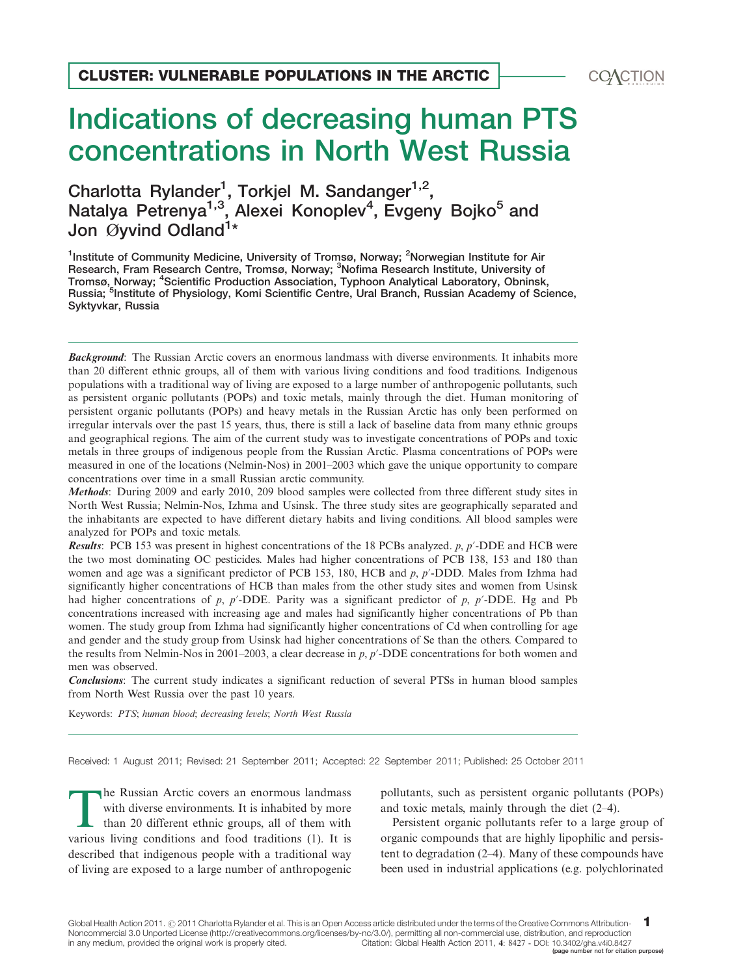**COACTION** 

# Indications of decreasing human PTS concentrations in North West Russia CLUSTER: VULNERABLE POPULATIONS IN THE ARCTIC<br>Indications of decreasing human PTS<br>Concentrations in North West Russia<br>Charlotta Rylander<sup>1</sup>, Torkjel M. Sandanger<sup>1,2</sup>,

Charlotta Rylander<sup>1</sup>, Torkjel M. Sandanger<sup>1,2</sup>, Natalya Petrenya<sup>1,3</sup>, Alexei Konoplev<sup>4</sup>, Evgeny Bojko<sup>5</sup> and Jon Øyvind Odland<sup>1</sup>[\\*](#page-7-0)

<sup>1</sup>Institute of Community Medicine, University of Tromsø, Norway; <sup>2</sup>Norwegian Institute for Air Research, Fram Research Centre, Tromsø, Norway; <sup>3</sup>Nofima Research Institute, University of Tromsø, Norway; <sup>4</sup>Scientific Production Association, Typhoon Analytical Laboratory, Obninsk, Russia; <sup>5</sup>Institute of Physiology, Komi Scientific Centre, Ural Branch, Russian Academy of Science, Syktyvkar, Russia

**Background:** The Russian Arctic covers an enormous landmass with diverse environments. It inhabits more than 20 different ethnic groups, all of them with various living conditions and food traditions. Indigenous populations with a traditional way of living are exposed to a large number of anthropogenic pollutants, such as persistent organic pollutants (POPs) and toxic metals, mainly through the diet. Human monitoring of persistent organic pollutants (POPs) and heavy metals in the Russian Arctic has only been performed on irregular intervals over the past 15 years, thus, there is still a lack of baseline data from many ethnic groups and geographical regions. The aim of the current study was to investigate concentrations of POPs and toxic metals in three groups of indigenous people from the Russian Arctic. Plasma concentrations of POPs were measured in one of the locations (Nelmin-Nos) in 2001–2003 which gave the unique opportunity to compare concentrations over time in a small Russian arctic community.

Methods: During 2009 and early 2010, 209 blood samples were collected from three different study sites in North West Russia; Nelmin-Nos, Izhma and Usinsk. The three study sites are geographically separated and the inhabitants are expected to have different dietary habits and living conditions. All blood samples were analyzed for POPs and toxic metals.

**Results:** PCB 153 was present in highest concentrations of the 18 PCBs analyzed.  $p$ ,  $p'$ -DDE and HCB were the two most dominating OC pesticides. Males had higher concentrations of PCB 138, 153 and 180 than women and age was a significant predictor of PCB 153, 180, HCB and p, p'-DDD. Males from Izhma had significantly higher concentrations of HCB than males from the other study sites and women from Usinsk had higher concentrations of p, p'-DDE. Parity was a significant predictor of p, p'-DDE. Hg and Pb concentrations increased with increasing age and males had significantly higher concentrations of Pb than women. The study group from Izhma had significantly higher concentrations of Cd when controlling for age and gender and the study group from Usinsk had higher concentrations of Se than the others. Compared to the results from Nelmin-Nos in 2001–2003, a clear decrease in  $p$ ,  $p'$ -DDE concentrations for both women and men was observed.

Conclusions: The current study indicates a significant reduction of several PTSs in human blood samples from North West Russia over the past 10 years.

Keywords: PTS; human blood; decreasing levels; North West Russia

Received: 1 August 2011; Revised: 21 September 2011; Accepted: 22 September 2011; Published: 25 October 2011

The Russian Arctic covers an enormous landmass with diverse environments. It is inhabited by more than 20 different ethnic groups, all of them with various living conditions and food traditions (1). It is described that indigenous people with a traditional way of living are exposed to a large number of anthropogenic pollutants, such as persistent organic pollutants (POPs) and toxic metals, mainly through the diet  $(2-4)$ .

Persistent organic pollutants refer to a large group of organic compounds that are highly lipophilic and persistent to degradation  $(2-4)$ . Many of these compounds have been used in industrial applications (e.g. polychlorinated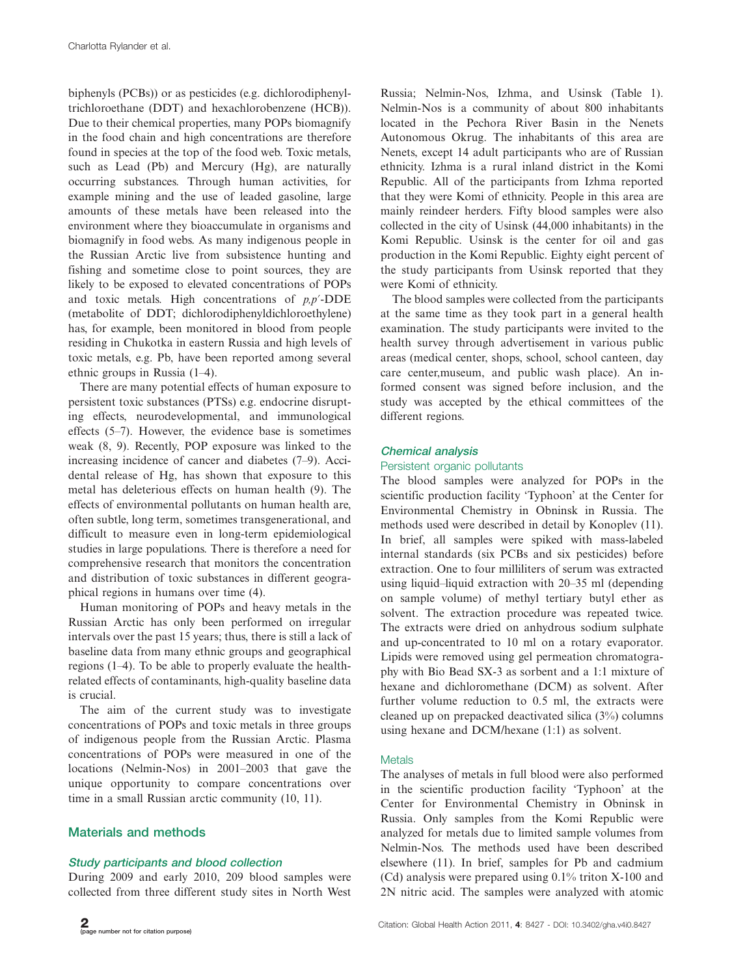biphenyls (PCBs)) or as pesticides (e.g. dichlorodiphenyltrichloroethane (DDT) and hexachlorobenzene (HCB)). Due to their chemical properties, many POPs biomagnify in the food chain and high concentrations are therefore found in species at the top of the food web. Toxic metals, such as Lead (Pb) and Mercury (Hg), are naturally occurring substances. Through human activities, for example mining and the use of leaded gasoline, large amounts of these metals have been released into the environment where they bioaccumulate in organisms and biomagnify in food webs. As many indigenous people in the Russian Arctic live from subsistence hunting and fishing and sometime close to point sources, they are likely to be exposed to elevated concentrations of POPs and toxic metals. High concentrations of  $p, p'$ -DDE (metabolite of DDT; dichlorodiphenyldichloroethylene) has, for example, been monitored in blood from people residing in Chukotka in eastern Russia and high levels of toxic metals, e.g. Pb, have been reported among several ethnic groups in Russia  $(1-4)$ .

There are many potential effects of human exposure to persistent toxic substances (PTSs) e.g. endocrine disrupting effects, neurodevelopmental, and immunological effects  $(5-7)$ . However, the evidence base is sometimes weak (8, 9). Recently, POP exposure was linked to the increasing incidence of cancer and diabetes  $(7-9)$ . Accidental release of Hg, has shown that exposure to this metal has deleterious effects on human health (9). The effects of environmental pollutants on human health are, often subtle, long term, sometimes transgenerational, and difficult to measure even in long-term epidemiological studies in large populations. There is therefore a need for comprehensive research that monitors the concentration and distribution of toxic substances in different geographical regions in humans over time (4).

Human monitoring of POPs and heavy metals in the Russian Arctic has only been performed on irregular intervals over the past 15 years; thus, there is still a lack of baseline data from many ethnic groups and geographical regions  $(1-4)$ . To be able to properly evaluate the healthrelated effects of contaminants, high-quality baseline data is crucial.

The aim of the current study was to investigate concentrations of POPs and toxic metals in three groups of indigenous people from the Russian Arctic. Plasma concentrations of POPs were measured in one of the locations (Nelmin-Nos) in 2001–2003 that gave the unique opportunity to compare concentrations over time in a small Russian arctic community (10, 11).

# Materials and methods

### Study participants and blood collection

During 2009 and early 2010, 209 blood samples were collected from three different study sites in North West

Russia; Nelmin-Nos, Izhma, and Usinsk (Table 1). Nelmin-Nos is a community of about 800 inhabitants located in the Pechora River Basin in the Nenets Autonomous Okrug. The inhabitants of this area are Nenets, except 14 adult participants who are of Russian ethnicity. Izhma is a rural inland district in the Komi Republic. All of the participants from Izhma reported that they were Komi of ethnicity. People in this area are mainly reindeer herders. Fifty blood samples were also collected in the city of Usinsk (44,000 inhabitants) in the Komi Republic. Usinsk is the center for oil and gas production in the Komi Republic. Eighty eight percent of the study participants from Usinsk reported that they were Komi of ethnicity.

The blood samples were collected from the participants at the same time as they took part in a general health examination. The study participants were invited to the health survey through advertisement in various public areas (medical center, shops, school, school canteen, day care center,museum, and public wash place). An informed consent was signed before inclusion, and the study was accepted by the ethical committees of the different regions.

### Chemical analysis

### Persistent organic pollutants

The blood samples were analyzed for POPs in the scientific production facility 'Typhoon' at the Center for Environmental Chemistry in Obninsk in Russia. The methods used were described in detail by Konoplev (11). In brief, all samples were spiked with mass-labeled internal standards (six PCBs and six pesticides) before extraction. One to four milliliters of serum was extracted using liquid-liquid extraction with  $20-35$  ml (depending on sample volume) of methyl tertiary butyl ether as solvent. The extraction procedure was repeated twice. The extracts were dried on anhydrous sodium sulphate and up-concentrated to 10 ml on a rotary evaporator. Lipids were removed using gel permeation chromatography with Bio Bead SX-3 as sorbent and a 1:1 mixture of hexane and dichloromethane (DCM) as solvent. After further volume reduction to 0.5 ml, the extracts were cleaned up on prepacked deactivated silica (3%) columns using hexane and DCM/hexane (1:1) as solvent.

### **Metals**

The analyses of metals in full blood were also performed in the scientific production facility 'Typhoon' at the Center for Environmental Chemistry in Obninsk in Russia. Only samples from the Komi Republic were analyzed for metals due to limited sample volumes from Nelmin-Nos. The methods used have been described elsewhere (11). In brief, samples for Pb and cadmium (Cd) analysis were prepared using 0.1% triton X-100 and 2N nitric acid. The samples were analyzed with atomic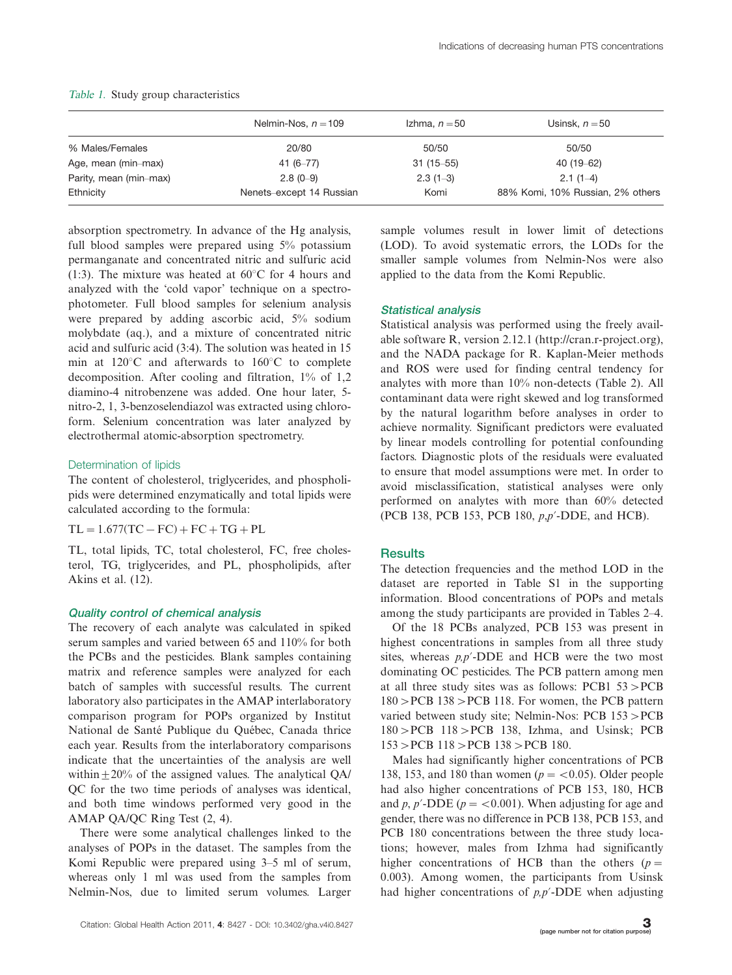|                        | Nelmin-Nos. $n = 109$    | Izhma, $n = 50$ | Usinsk. $n = 50$                 |
|------------------------|--------------------------|-----------------|----------------------------------|
| % Males/Females        | 20/80                    | 50/50           | 50/50                            |
| Age, mean (min-max)    | 41 $(6-77)$              | $31(15 - 55)$   | $40(19-62)$                      |
| Parity, mean (min-max) | $2.8(0-9)$               | $2.3(1-3)$      | $2.1(1-4)$                       |
| Ethnicity              | Nenets-except 14 Russian | Komi            | 88% Komi, 10% Russian, 2% others |

### Table 1. Study group characteristics

absorption spectrometry. In advance of the Hg analysis, full blood samples were prepared using 5% potassium permanganate and concentrated nitric and sulfuric acid (1:3). The mixture was heated at  $60^{\circ}$ C for 4 hours and analyzed with the 'cold vapor' technique on a spectrophotometer. Full blood samples for selenium analysis were prepared by adding ascorbic acid, 5% sodium molybdate (aq.), and a mixture of concentrated nitric acid and sulfuric acid (3:4). The solution was heated in 15 min at  $120^{\circ}$ C and afterwards to  $160^{\circ}$ C to complete decomposition. After cooling and filtration, 1% of 1,2 diamino-4 nitrobenzene was added. One hour later, 5 nitro-2, 1, 3-benzoselendiazol was extracted using chloroform. Selenium concentration was later analyzed by electrothermal atomic-absorption spectrometry.

### Determination of lipids

The content of cholesterol, triglycerides, and phospholipids were determined enzymatically and total lipids were calculated according to the formula:

# $TL = 1.677(TC - FC) + FC + TG + PL$

TL, total lipids, TC, total cholesterol, FC, free cholesterol, TG, triglycerides, and PL, phospholipids, after Akins et al. (12).

### Quality control of chemical analysis

The recovery of each analyte was calculated in spiked serum samples and varied between 65 and 110% for both the PCBs and the pesticides. Blank samples containing matrix and reference samples were analyzed for each batch of samples with successful results. The current laboratory also participates in the AMAP interlaboratory comparison program for POPs organized by Institut National de Santé Publique du Québec, Canada thrice each year. Results from the interlaboratory comparisons indicate that the uncertainties of the analysis are well within $\pm 20\%$  of the assigned values. The analytical QA/ QC for the two time periods of analyses was identical, and both time windows performed very good in the AMAP QA/QC Ring Test (2, 4).

There were some analytical challenges linked to the analyses of POPs in the dataset. The samples from the Komi Republic were prepared using 3–5 ml of serum, whereas only 1 ml was used from the samples from Nelmin-Nos, due to limited serum volumes. Larger sample volumes result in lower limit of detections (LOD). To avoid systematic errors, the LODs for the smaller sample volumes from Nelmin-Nos were also applied to the data from the Komi Republic.

### Statistical analysis

Statistical analysis was performed using the freely available software R, version 2.12.1 ([http://cran.r-project.org\)](http://cran.r-project.org), and the NADA package for R. Kaplan-Meier methods and ROS were used for finding central tendency for analytes with more than 10% non-detects (Table 2). All contaminant data were right skewed and log transformed by the natural logarithm before analyses in order to achieve normality. Significant predictors were evaluated by linear models controlling for potential confounding factors. Diagnostic plots of the residuals were evaluated to ensure that model assumptions were met. In order to avoid misclassification, statistical analyses were only performed on analytes with more than 60% detected (PCB 138, PCB 153, PCB 180, p,p?-DDE, and HCB).

## **Results**

The detection frequencies and the method LOD in the dataset are reported in Table S1 in the supporting information. Blood concentrations of POPs and metals among the study participants are provided in Tables 2-4.

Of the 18 PCBs analyzed, PCB 153 was present in highest concentrations in samples from all three study sites, whereas  $p, p'$ -DDE and HCB were the two most dominating OC pesticides. The PCB pattern among men at all three study sites was as follows: PCB1 53-PCB  $180 > PCB$  138 > PCB 118. For women, the PCB pattern varied between study site; Nelmin-Nos: PCB 153-PCB 180-PCB 118-PCB 138, Izhma, and Usinsk; PCB 153-PCB 118-PCB 138-PCB 180.

Males had significantly higher concentrations of PCB 138, 153, and 180 than women ( $p = < 0.05$ ). Older people had also higher concentrations of PCB 153, 180, HCB and p, p'-DDE ( $p = 0.001$ ). When adjusting for age and gender, there was no difference in PCB 138, PCB 153, and PCB 180 concentrations between the three study locations; however, males from Izhma had significantly higher concentrations of HCB than the others ( $p =$ 0.003). Among women, the participants from Usinsk had higher concentrations of  $p, p'$ -DDE when adjusting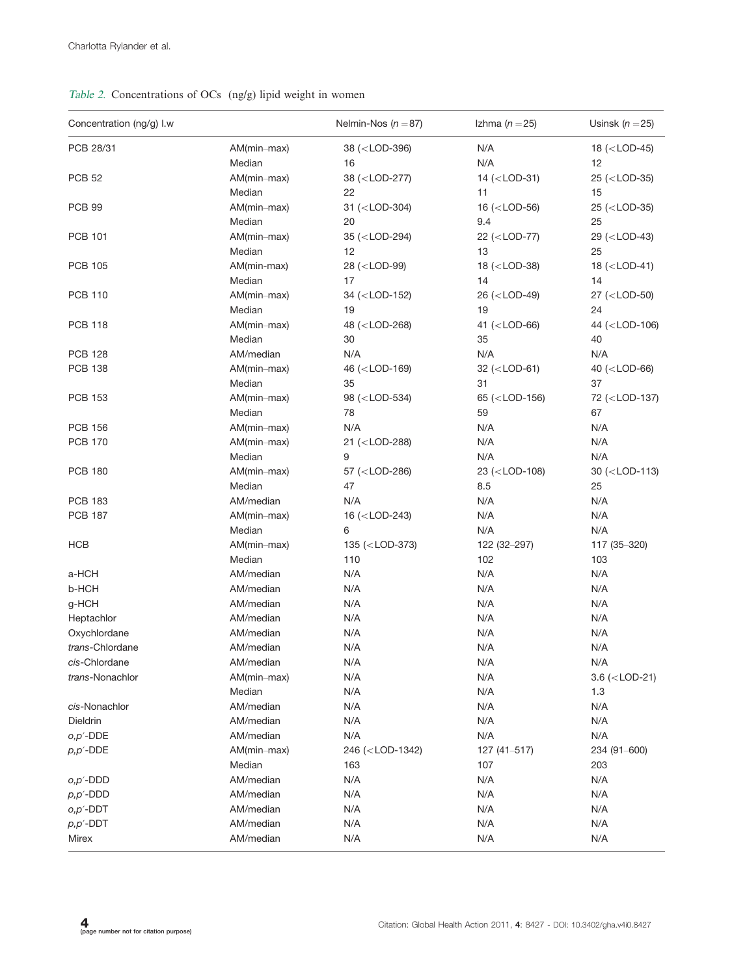# Table <sup>2</sup>. Concentrations of OCs (ng/g) lipid weight in women

| Concentration (ng/g) I.w |             | Nelmin-Nos $(n=87)$                                                                                                                 | Izhma $(n=25)$                                                                            | Usinsk $(n=25)$                      |
|--------------------------|-------------|-------------------------------------------------------------------------------------------------------------------------------------|-------------------------------------------------------------------------------------------|--------------------------------------|
| PCB 28/31                | AM(min-max) | 38 ( <lod-396)< th=""><th>N/A</th><th>18<math>(&lt;</math>LOD-45)</th></lod-396)<>                                                  | N/A                                                                                       | 18 $(<$ LOD-45)                      |
|                          | Median      | 16                                                                                                                                  | N/A                                                                                       | 12                                   |
| <b>PCB 52</b>            | AM(min-max) | 38 ( <lod-277)< td=""><td>14<math>(&lt;</math>LOD-31)</td><td>25 (<lod-35)< td=""></lod-35)<></td></lod-277)<>                      | 14 $(<$ LOD-31)                                                                           | 25 ( <lod-35)< td=""></lod-35)<>     |
|                          | Median      | 22                                                                                                                                  | 11                                                                                        | 15                                   |
| <b>PCB 99</b>            | AM(min-max) | 31 ( <lod-304)< td=""><td>16 (<lod-56)< td=""><td>25 (<lod-35)< td=""></lod-35)<></td></lod-56)<></td></lod-304)<>                  | 16 ( <lod-56)< td=""><td>25 (<lod-35)< td=""></lod-35)<></td></lod-56)<>                  | 25 ( <lod-35)< td=""></lod-35)<>     |
|                          | Median      | 20                                                                                                                                  | 9.4                                                                                       | 25                                   |
| <b>PCB 101</b>           | AM(min-max) | 35 ( <lod-294)< td=""><td>22 (<lod-77)< td=""><td>29 (<lod-43)< td=""></lod-43)<></td></lod-77)<></td></lod-294)<>                  | 22 ( <lod-77)< td=""><td>29 (<lod-43)< td=""></lod-43)<></td></lod-77)<>                  | 29 ( <lod-43)< td=""></lod-43)<>     |
|                          | Median      | 12                                                                                                                                  | 13                                                                                        | 25                                   |
| <b>PCB 105</b>           | AM(min-max) | 28 ( <lod-99)< td=""><td>18 (<lod-38)< td=""><td>18<math>(&lt;</math>LOD-41)</td></lod-38)<></td></lod-99)<>                        | 18 ( <lod-38)< td=""><td>18<math>(&lt;</math>LOD-41)</td></lod-38)<>                      | 18 $(<$ LOD-41)                      |
|                          | Median      | 17                                                                                                                                  | 14                                                                                        | 14                                   |
| <b>PCB 110</b>           | AM(min-max) | 34 ( <lod-152)< td=""><td>26 (<lod-49)< td=""><td>27 (<lod-50)< td=""></lod-50)<></td></lod-49)<></td></lod-152)<>                  | 26 ( <lod-49)< td=""><td>27 (<lod-50)< td=""></lod-50)<></td></lod-49)<>                  | 27 ( <lod-50)< td=""></lod-50)<>     |
|                          | Median      | 19                                                                                                                                  | 19                                                                                        | 24                                   |
| <b>PCB 118</b>           | AM(min-max) | 48 ( <lod-268)< td=""><td>41 (<lod-66)< td=""><td>44 (<lod-106)< td=""></lod-106)<></td></lod-66)<></td></lod-268)<>                | 41 ( <lod-66)< td=""><td>44 (<lod-106)< td=""></lod-106)<></td></lod-66)<>                | 44 ( <lod-106)< td=""></lod-106)<>   |
|                          | Median      | 30                                                                                                                                  | 35                                                                                        | 40                                   |
| <b>PCB 128</b>           | AM/median   | N/A                                                                                                                                 | N/A                                                                                       | N/A                                  |
| <b>PCB 138</b>           | AM(min-max) | 46 ( <lod-169)< td=""><td><math>32</math> (<lod-61)< td=""><td>40 (<lod-66)< td=""></lod-66)<></td></lod-61)<></td></lod-169)<>     | $32$ ( <lod-61)< td=""><td>40 (<lod-66)< td=""></lod-66)<></td></lod-61)<>                | 40 ( <lod-66)< td=""></lod-66)<>     |
|                          | Median      | 35                                                                                                                                  | 31                                                                                        | 37                                   |
| <b>PCB 153</b>           | AM(min-max) | 98 ( <lod-534)< td=""><td>65 (<lod-156)< td=""><td>72 (<lod-137)< td=""></lod-137)<></td></lod-156)<></td></lod-534)<>              | 65 ( <lod-156)< td=""><td>72 (<lod-137)< td=""></lod-137)<></td></lod-156)<>              | 72 ( <lod-137)< td=""></lod-137)<>   |
|                          | Median      | 78                                                                                                                                  | 59                                                                                        | 67                                   |
| <b>PCB 156</b>           | AM(min-max) | N/A                                                                                                                                 | N/A                                                                                       | N/A                                  |
| <b>PCB 170</b>           | AM(min-max) | 21 ( <lod-288)< td=""><td>N/A</td><td>N/A</td></lod-288)<>                                                                          | N/A                                                                                       | N/A                                  |
|                          | Median      | 9                                                                                                                                   | N/A                                                                                       | N/A                                  |
| <b>PCB 180</b>           | AM(min-max) | 57 ( <lod-286)< td=""><td>23 (<lod-108)< td=""><td><math>30</math> (<lod-113)< td=""></lod-113)<></td></lod-108)<></td></lod-286)<> | 23 ( <lod-108)< td=""><td><math>30</math> (<lod-113)< td=""></lod-113)<></td></lod-108)<> | $30$ ( <lod-113)< td=""></lod-113)<> |
|                          | Median      | 47                                                                                                                                  | 8.5                                                                                       | 25                                   |
| <b>PCB 183</b>           | AM/median   | N/A                                                                                                                                 | N/A                                                                                       | N/A                                  |
| <b>PCB 187</b>           | AM(min-max) | 16 ( <lod-243)< td=""><td>N/A</td><td>N/A</td></lod-243)<>                                                                          | N/A                                                                                       | N/A                                  |
|                          | Median      | 6                                                                                                                                   | N/A                                                                                       | N/A                                  |
| <b>HCB</b>               | AM(min-max) | 135 ( <lod-373)< td=""><td>122 (32-297)</td><td>117 (35-320)</td></lod-373)<>                                                       | 122 (32-297)                                                                              | 117 (35-320)                         |
|                          | Median      | 110                                                                                                                                 | 102                                                                                       | 103                                  |
| a-HCH                    | AM/median   | N/A                                                                                                                                 | N/A                                                                                       | N/A                                  |
| b-HCH                    | AM/median   | N/A                                                                                                                                 | N/A                                                                                       | N/A                                  |
| g-HCH                    | AM/median   | N/A                                                                                                                                 | N/A                                                                                       | N/A                                  |
| Heptachlor               | AM/median   | N/A                                                                                                                                 | N/A                                                                                       | N/A                                  |
| Oxychlordane             | AM/median   | N/A                                                                                                                                 | N/A                                                                                       | N/A                                  |
| trans-Chlordane          | AM/median   | N/A                                                                                                                                 | N/A                                                                                       | N/A                                  |
| cis-Chlordane            | AM/median   | N/A                                                                                                                                 | N/A                                                                                       | N/A                                  |
| trans-Nonachlor          | AM(min-max) | N/A                                                                                                                                 | N/A                                                                                       | $3.6$ ( <lod-21)< td=""></lod-21)<>  |
|                          | Median      | N/A                                                                                                                                 | N/A                                                                                       | 1.3                                  |
| cis-Nonachlor            | AM/median   | N/A                                                                                                                                 | N/A                                                                                       | N/A                                  |
| Dieldrin                 | AM/median   | N/A                                                                                                                                 | N/A                                                                                       | N/A                                  |
| $o, p'$ -DDE             | AM/median   | N/A                                                                                                                                 | N/A                                                                                       | N/A                                  |
| $p, p'$ -DDE             | AM(min-max) | 246 ( <lod-1342)< td=""><td><math>127(41 - 517)</math></td><td>234 (91-600)</td></lod-1342)<>                                       | $127(41 - 517)$                                                                           | 234 (91-600)                         |
|                          | Median      | 163                                                                                                                                 | 107                                                                                       | 203                                  |
| $o, p'$ -DDD             | AM/median   | N/A                                                                                                                                 | N/A                                                                                       | N/A                                  |
| $p, p'$ -DDD             | AM/median   | N/A                                                                                                                                 | N/A                                                                                       | N/A                                  |
| $O, D'$ -DDT             | AM/median   | N/A                                                                                                                                 | N/A                                                                                       | N/A                                  |
| $p, p'$ -DDT             | AM/median   | N/A                                                                                                                                 | N/A                                                                                       | N/A                                  |
| Mirex                    | AM/median   | N/A                                                                                                                                 | N/A                                                                                       | N/A                                  |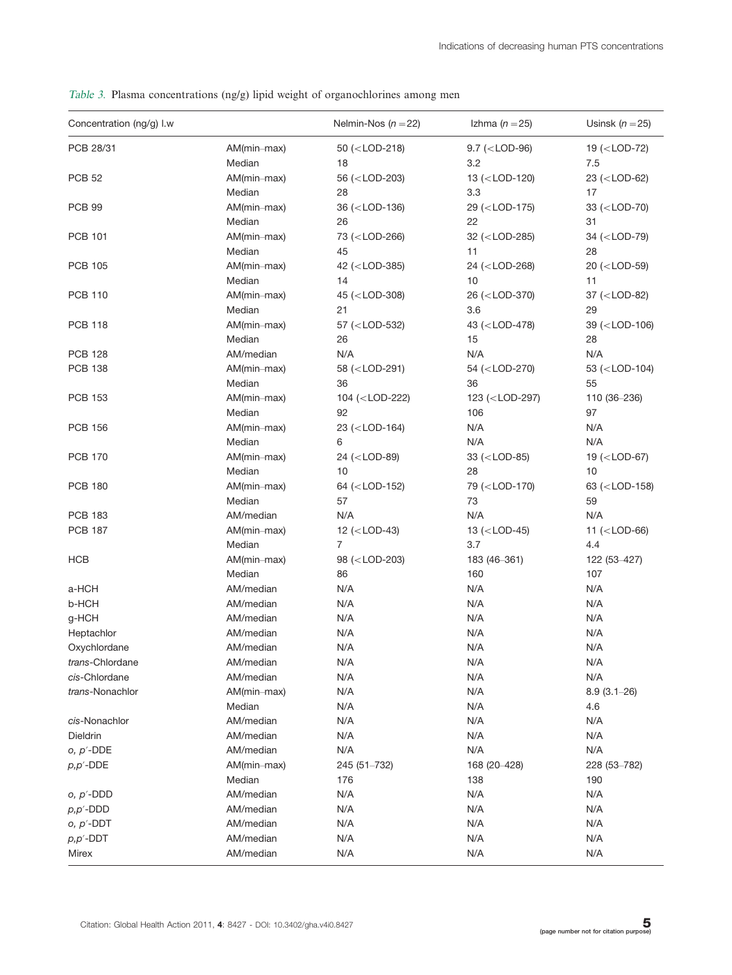| Concentration (ng/g) I.w |               | Nelmin-Nos $(n=22)$                                                                                                              | Izhma $(n=25)$                                                               | Usinsk $(n=25)$                    |
|--------------------------|---------------|----------------------------------------------------------------------------------------------------------------------------------|------------------------------------------------------------------------------|------------------------------------|
| PCB 28/31                | AM(min-max)   | 50 ( <lod-218)< th=""><th><math>9.7</math> (<lod-96)< th=""><th>19 (<lod-72)< th=""></lod-72)<></th></lod-96)<></th></lod-218)<> | $9.7$ ( <lod-96)< th=""><th>19 (<lod-72)< th=""></lod-72)<></th></lod-96)<>  | 19 ( <lod-72)< th=""></lod-72)<>   |
|                          | Median        | 18                                                                                                                               | 3.2                                                                          | 7.5                                |
| <b>PCB 52</b>            | AM(min-max)   | 56 ( <lod-203)< td=""><td>13 (<lod-120)< td=""><td>23 (<lod-62)< td=""></lod-62)<></td></lod-120)<></td></lod-203)<>             | 13 ( <lod-120)< td=""><td>23 (<lod-62)< td=""></lod-62)<></td></lod-120)<>   | 23 ( <lod-62)< td=""></lod-62)<>   |
|                          | Median        | 28                                                                                                                               | 3.3                                                                          | 17                                 |
| <b>PCB 99</b>            | AM(min-max)   | 36 ( <lod-136)< td=""><td>29 (<lod-175)< td=""><td>33 (<lod-70)< td=""></lod-70)<></td></lod-175)<></td></lod-136)<>             | 29 ( <lod-175)< td=""><td>33 (<lod-70)< td=""></lod-70)<></td></lod-175)<>   | 33 ( <lod-70)< td=""></lod-70)<>   |
|                          | Median        | 26                                                                                                                               | 22                                                                           | 31                                 |
| PCB 101                  | AM(min-max)   | 73 ( <lod-266)< td=""><td>32 (<lod-285)< td=""><td>34 (<lod-79)< td=""></lod-79)<></td></lod-285)<></td></lod-266)<>             | 32 ( <lod-285)< td=""><td>34 (<lod-79)< td=""></lod-79)<></td></lod-285)<>   | 34 ( <lod-79)< td=""></lod-79)<>   |
|                          | Median        | 45                                                                                                                               | 11                                                                           | 28                                 |
| <b>PCB 105</b>           | AM(min-max)   | 42 ( <lod-385)< td=""><td>24 (<lod-268)< td=""><td>20 (<lod-59)< td=""></lod-59)<></td></lod-268)<></td></lod-385)<>             | 24 ( <lod-268)< td=""><td>20 (<lod-59)< td=""></lod-59)<></td></lod-268)<>   | 20 ( <lod-59)< td=""></lod-59)<>   |
|                          | Median        | 14                                                                                                                               | 10                                                                           | 11                                 |
| PCB 110                  | AM(min-max)   | 45 ( <lod-308)< td=""><td>26 (<lod-370)< td=""><td>37 (<lod-82)< td=""></lod-82)<></td></lod-370)<></td></lod-308)<>             | 26 ( <lod-370)< td=""><td>37 (<lod-82)< td=""></lod-82)<></td></lod-370)<>   | 37 ( <lod-82)< td=""></lod-82)<>   |
|                          | Median        | 21                                                                                                                               | 3.6                                                                          | 29                                 |
| PCB 118                  | AM(min-max)   | 57 ( <lod-532)< td=""><td>43 (<lod-478)< td=""><td>39 (<lod-106)< td=""></lod-106)<></td></lod-478)<></td></lod-532)<>           | 43 ( <lod-478)< td=""><td>39 (<lod-106)< td=""></lod-106)<></td></lod-478)<> | 39 ( <lod-106)< td=""></lod-106)<> |
|                          | Median        | 26                                                                                                                               | 15                                                                           | 28                                 |
| <b>PCB 128</b>           | AM/median     | N/A                                                                                                                              | N/A                                                                          | N/A                                |
| <b>PCB 138</b>           | AM(min-max)   | 58 ( <lod-291)< td=""><td>54 (<lod-270)< td=""><td>53 (<lod-104)< td=""></lod-104)<></td></lod-270)<></td></lod-291)<>           | 54 ( <lod-270)< td=""><td>53 (<lod-104)< td=""></lod-104)<></td></lod-270)<> | 53 ( <lod-104)< td=""></lod-104)<> |
|                          | Median        | 36                                                                                                                               | 36                                                                           | 55                                 |
| <b>PCB 153</b>           | AM(min-max)   | 104 ( <lod-222)< td=""><td>123 (<lod-297)< td=""><td>110 (36-236)</td></lod-297)<></td></lod-222)<>                              | 123 ( <lod-297)< td=""><td>110 (36-236)</td></lod-297)<>                     | 110 (36-236)                       |
|                          | Median        | 92                                                                                                                               | 106                                                                          | 97                                 |
| <b>PCB 156</b>           | AM(min-max)   | 23 ( <lod-164)< td=""><td>N/A</td><td>N/A</td></lod-164)<>                                                                       | N/A                                                                          | N/A                                |
|                          | Median        | 6                                                                                                                                | N/A                                                                          | N/A                                |
| <b>PCB 170</b>           | AM(min-max)   | 24 ( <lod-89)< td=""><td>33 (<lod-85)< td=""><td>19<math>(&lt;</math>LOD-67)</td></lod-85)<></td></lod-89)<>                     | 33 ( <lod-85)< td=""><td>19<math>(&lt;</math>LOD-67)</td></lod-85)<>         | 19 $(<$ LOD-67)                    |
|                          | Median        | 10                                                                                                                               | 28                                                                           | 10                                 |
| <b>PCB 180</b>           | AM(min-max)   | 64 ( <lod-152)< td=""><td>79 (<lod-170)< td=""><td>63 (<lod-158)< td=""></lod-158)<></td></lod-170)<></td></lod-152)<>           | 79 ( <lod-170)< td=""><td>63 (<lod-158)< td=""></lod-158)<></td></lod-170)<> | 63 ( <lod-158)< td=""></lod-158)<> |
|                          | Median        | 57                                                                                                                               | 73                                                                           | 59                                 |
| <b>PCB 183</b>           | AM/median     | N/A                                                                                                                              | N/A                                                                          | N/A                                |
| <b>PCB 187</b>           | AM(min-max)   | 12 $(<$ LOD-43)                                                                                                                  | 13 $(<$ LOD-45)                                                              | 11 $(<$ LOD-66)                    |
|                          | Median        | $\overline{7}$                                                                                                                   | 3.7                                                                          | 4.4                                |
| <b>HCB</b>               | AM(min-max)   | 98 ( <lod-203)< td=""><td>183 (46-361)</td><td>122 (53-427)</td></lod-203)<>                                                     | 183 (46-361)                                                                 | 122 (53-427)                       |
|                          | Median        | 86                                                                                                                               | 160                                                                          | 107                                |
| a-HCH                    | AM/median     | N/A                                                                                                                              | N/A                                                                          | N/A                                |
| b-HCH                    | AM/median     | N/A                                                                                                                              | N/A                                                                          | N/A                                |
| g-HCH                    | AM/median     | N/A                                                                                                                              | N/A                                                                          | N/A                                |
| Heptachlor               | AM/median     | N/A                                                                                                                              | N/A                                                                          | N/A                                |
| Oxychlordane             | AM/median     | N/A                                                                                                                              | N/A                                                                          | N/A                                |
| trans-Chlordane          | AM/median     | N/A                                                                                                                              | N/A                                                                          | N/A                                |
| cis-Chlordane            | AM/median     | N/A                                                                                                                              | N/A                                                                          | N/A                                |
| trans-Nonachlor          | $AM(min-max)$ | N/A                                                                                                                              | N/A                                                                          | $8.9(3.1 - 26)$                    |
|                          | Median        | N/A                                                                                                                              | N/A                                                                          | 4.6                                |
| cis-Nonachlor            | AM/median     | N/A                                                                                                                              | N/A                                                                          | N/A                                |
| Dieldrin                 | AM/median     | N/A                                                                                                                              | N/A                                                                          | N/A                                |
| $o, p'$ -DDE             | AM/median     | N/A                                                                                                                              | N/A                                                                          | N/A                                |
| $p, p'$ -DDE             | $AM(min-max)$ | 245 (51-732)                                                                                                                     | 168 (20-428)                                                                 | 228 (53-782)                       |
|                          | Median        | 176                                                                                                                              | 138                                                                          | 190                                |
| $o, p'$ -DDD             | AM/median     | N/A                                                                                                                              | N/A                                                                          | N/A                                |
| $p, p'$ -DDD             | AM/median     | N/A                                                                                                                              | N/A                                                                          | N/A                                |
| $o, p'$ -DDT             | AM/median     | N/A                                                                                                                              | N/A                                                                          | N/A                                |
| $p, p'$ -DDT             | AM/median     | N/A                                                                                                                              | N/A                                                                          | N/A                                |
| Mirex                    | AM/median     | N/A                                                                                                                              | N/A                                                                          | N/A                                |

Table 3. Plasma concentrations (ng/g) lipid weight of organochlorines among men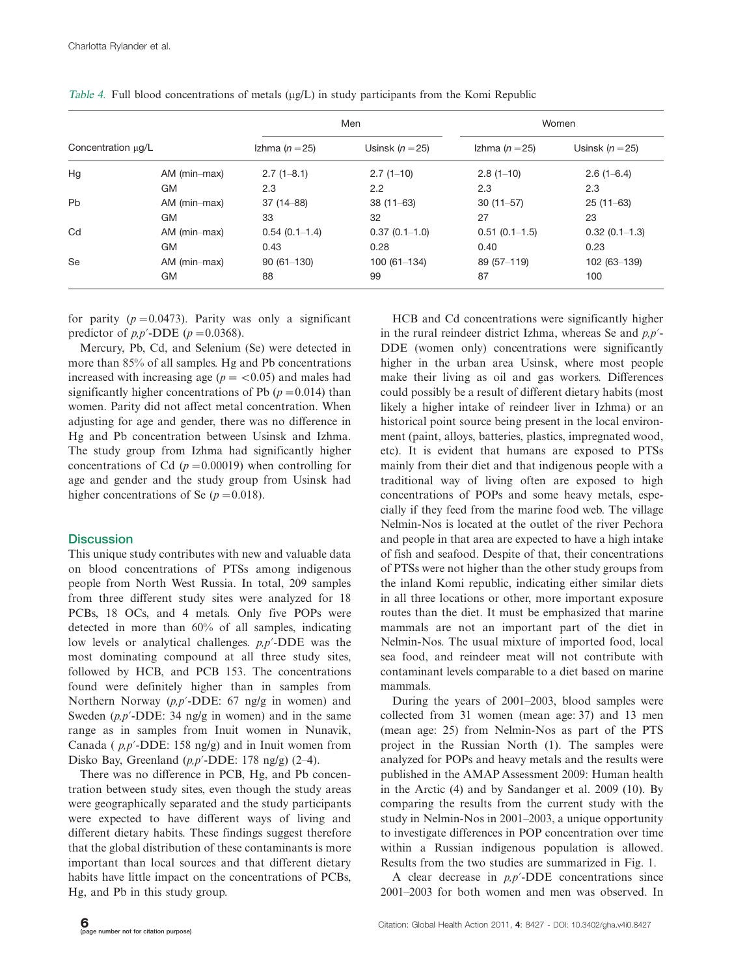|                    |              | Men                |                 | Women           |                 |
|--------------------|--------------|--------------------|-----------------|-----------------|-----------------|
| Concentration µg/L |              | Izhma ( $n = 25$ ) | Usinsk $(n=25)$ | Izhma $(n=25)$  | Usinsk $(n=25)$ |
| Hg                 | AM (min-max) | $2.7(1 - 8.1)$     | $2.7(1-10)$     | $2.8(1-10)$     | $2.6(1-6.4)$    |
|                    | <b>GM</b>    | 2.3                | 2.2             | 2.3             | 2.3             |
| <b>Pb</b>          | AM (min-max) | $37(14 - 88)$      | $38(11 - 63)$   | $30(11 - 57)$   | $25(11-63)$     |
|                    | <b>GM</b>    | 33                 | 32              | 27              | 23              |
| Cd                 | AM (min-max) | $0.54(0.1-1.4)$    | $0.37(0.1-1.0)$ | $0.51(0.1-1.5)$ | $0.32(0.1-1.3)$ |
|                    | <b>GM</b>    | 0.43               | 0.28            | 0.40            | 0.23            |
| <b>Se</b>          | AM (min-max) | $90(61 - 130)$     | $100(61 - 134)$ | 89 (57-119)     | 102 (63-139)    |
|                    | <b>GM</b>    | 88                 | 99              | 87              | 100             |

Table 4. Full blood concentrations of metals  $(\mu g/L)$  in study participants from the Komi Republic

for parity ( $p=0.0473$ ). Parity was only a significant predictor of  $p, p'$ -DDE ( $p = 0.0368$ ).

Mercury, Pb, Cd, and Selenium (Se) were detected in more than 85% of all samples. Hg and Pb concentrations increased with increasing age ( $p=\langle0.05\rangle$ ) and males had significantly higher concentrations of Pb  $(p=0.014)$  than women. Parity did not affect metal concentration. When adjusting for age and gender, there was no difference in Hg and Pb concentration between Usinsk and Izhma. The study group from Izhma had significantly higher concentrations of Cd  $(p=0.00019)$  when controlling for age and gender and the study group from Usinsk had higher concentrations of Se  $(p=0.018)$ .

### **Discussion**

This unique study contributes with new and valuable data on blood concentrations of PTSs among indigenous people from North West Russia. In total, 209 samples from three different study sites were analyzed for 18 PCBs, 18 OCs, and 4 metals. Only five POPs were detected in more than 60% of all samples, indicating low levels or analytical challenges.  $p, p'$ -DDE was the most dominating compound at all three study sites, followed by HCB, and PCB 153. The concentrations found were definitely higher than in samples from Northern Norway  $(p, p'$ -DDE: 67 ng/g in women) and Sweden  $(p, p'$ -DDE: 34 ng/g in women) and in the same range as in samples from Inuit women in Nunavik, Canada ( $p, p'$ -DDE: 158 ng/g) and in Inuit women from Disko Bay, Greenland  $(p, p'$ -DDE: 178 ng/g) (2–4).

There was no difference in PCB, Hg, and Pb concentration between study sites, even though the study areas were geographically separated and the study participants were expected to have different ways of living and different dietary habits. These findings suggest therefore that the global distribution of these contaminants is more important than local sources and that different dietary habits have little impact on the concentrations of PCBs, Hg, and Pb in this study group.

HCB and Cd concentrations were significantly higher in the rural reindeer district Izhma, whereas Se and  $p, p'$ -DDE (women only) concentrations were significantly higher in the urban area Usinsk, where most people make their living as oil and gas workers. Differences could possibly be a result of different dietary habits (most likely a higher intake of reindeer liver in Izhma) or an historical point source being present in the local environment (paint, alloys, batteries, plastics, impregnated wood, etc). It is evident that humans are exposed to PTSs mainly from their diet and that indigenous people with a traditional way of living often are exposed to high concentrations of POPs and some heavy metals, especially if they feed from the marine food web. The village Nelmin-Nos is located at the outlet of the river Pechora and people in that area are expected to have a high intake of fish and seafood. Despite of that, their concentrations of PTSs were not higher than the other study groups from the inland Komi republic, indicating either similar diets in all three locations or other, more important exposure routes than the diet. It must be emphasized that marine mammals are not an important part of the diet in Nelmin-Nos. The usual mixture of imported food, local sea food, and reindeer meat will not contribute with contaminant levels comparable to a diet based on marine mammals.

During the years of  $2001-2003$ , blood samples were collected from 31 women (mean age: 37) and 13 men (mean age: 25) from Nelmin-Nos as part of the PTS project in the Russian North (1). The samples were analyzed for POPs and heavy metals and the results were published in the AMAP Assessment 2009: Human health in the Arctic (4) and by Sandanger et al. 2009 (10). By comparing the results from the current study with the study in Nelmin-Nos in  $2001-2003$ , a unique opportunity to investigate differences in POP concentration over time within a Russian indigenous population is allowed. Results from the two studies are summarized in Fig. 1.

A clear decrease in  $p, p'$ -DDE concentrations since 2001-2003 for both women and men was observed. In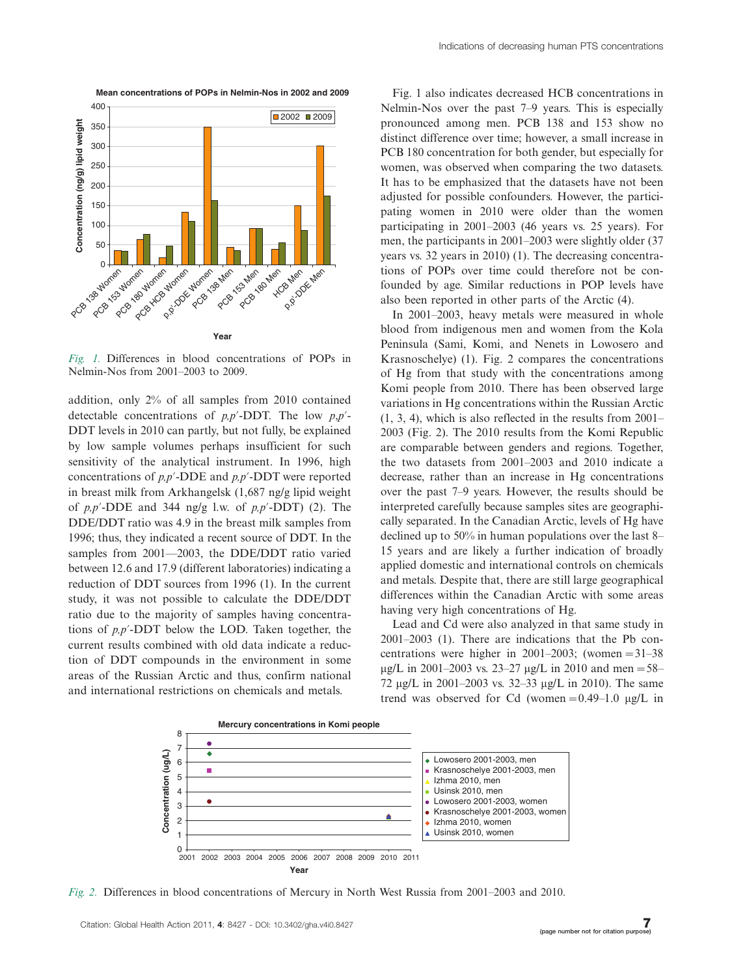



Fig. 1. Differences in blood concentrations of POPs in Nelmin-Nos from 2001-2003 to 2009.

addition, only 2% of all samples from 2010 contained detectable concentrations of  $p, p'$ -DDT. The low  $p, p'$ -DDT levels in 2010 can partly, but not fully, be explained by low sample volumes perhaps insufficient for such sensitivity of the analytical instrument. In 1996, high concentrations of  $p, p'$ -DDE and  $p, p'$ -DDT were reported in breast milk from Arkhangelsk (1,687 ng/g lipid weight of  $p, p'$ -DDE and 344 ng/g l.w. of  $p, p'$ -DDT) (2). The DDE/DDT ratio was 4.9 in the breast milk samples from 1996; thus, they indicated a recent source of DDT. In the samples from 2001-2003, the DDE/DDT ratio varied between 12.6 and 17.9 (different laboratories) indicating a reduction of DDT sources from 1996 (1). In the current study, it was not possible to calculate the DDE/DDT ratio due to the majority of samples having concentrations of  $p, p'$ -DDT below the LOD. Taken together, the current results combined with old data indicate a reduction of DDT compounds in the environment in some areas of the Russian Arctic and thus, confirm national and international restrictions on chemicals and metals.

Fig. 1 also indicates decreased HCB concentrations in Nelmin-Nos over the past  $7-9$  years. This is especially pronounced among men. PCB 138 and 153 show no distinct difference over time; however, a small increase in PCB 180 concentration for both gender, but especially for women, was observed when comparing the two datasets. It has to be emphasized that the datasets have not been adjusted for possible confounders. However, the participating women in 2010 were older than the women participating in  $2001-2003$  (46 years vs. 25 years). For men, the participants in 2001–2003 were slightly older (37) years vs. 32 years in 2010) (1). The decreasing concentrations of POPs over time could therefore not be confounded by age. Similar reductions in POP levels have also been reported in other parts of the Arctic (4).

In 2001–2003, heavy metals were measured in whole blood from indigenous men and women from the Kola Peninsula (Sami, Komi, and Nenets in Lowosero and Krasnoschelye) (1). Fig. 2 compares the concentrations of Hg from that study with the concentrations among Komi people from 2010. There has been observed large variations in Hg concentrations within the Russian Arctic  $(1, 3, 4)$ , which is also reflected in the results from  $2001 -$ 2003 (Fig. 2). The 2010 results from the Komi Republic are comparable between genders and regions. Together, the two datasets from  $2001-2003$  and  $2010$  indicate a decrease, rather than an increase in Hg concentrations over the past 7–9 years. However, the results should be interpreted carefully because samples sites are geographically separated. In the Canadian Arctic, levels of Hg have declined up to 50% in human populations over the last 8 15 years and are likely a further indication of broadly applied domestic and international controls on chemicals and metals. Despite that, there are still large geographical differences within the Canadian Arctic with some areas having very high concentrations of Hg.

Lead and Cd were also analyzed in that same study in  $2001-2003$  (1). There are indications that the Pb concentrations were higher in 2001–2003; (women =  $31-38$  $\mu$ g/L in 2001–2003 vs. 23–27  $\mu$ g/L in 2010 and men = 58– 72  $\mu$ g/L in 2001–2003 vs. 32–33  $\mu$ g/L in 2010). The same trend was observed for Cd (women =  $0.49-1.0 \mu g/L$  in



Fig. 2. Differences in blood concentrations of Mercury in North West Russia from  $2001-2003$  and  $2010$ .